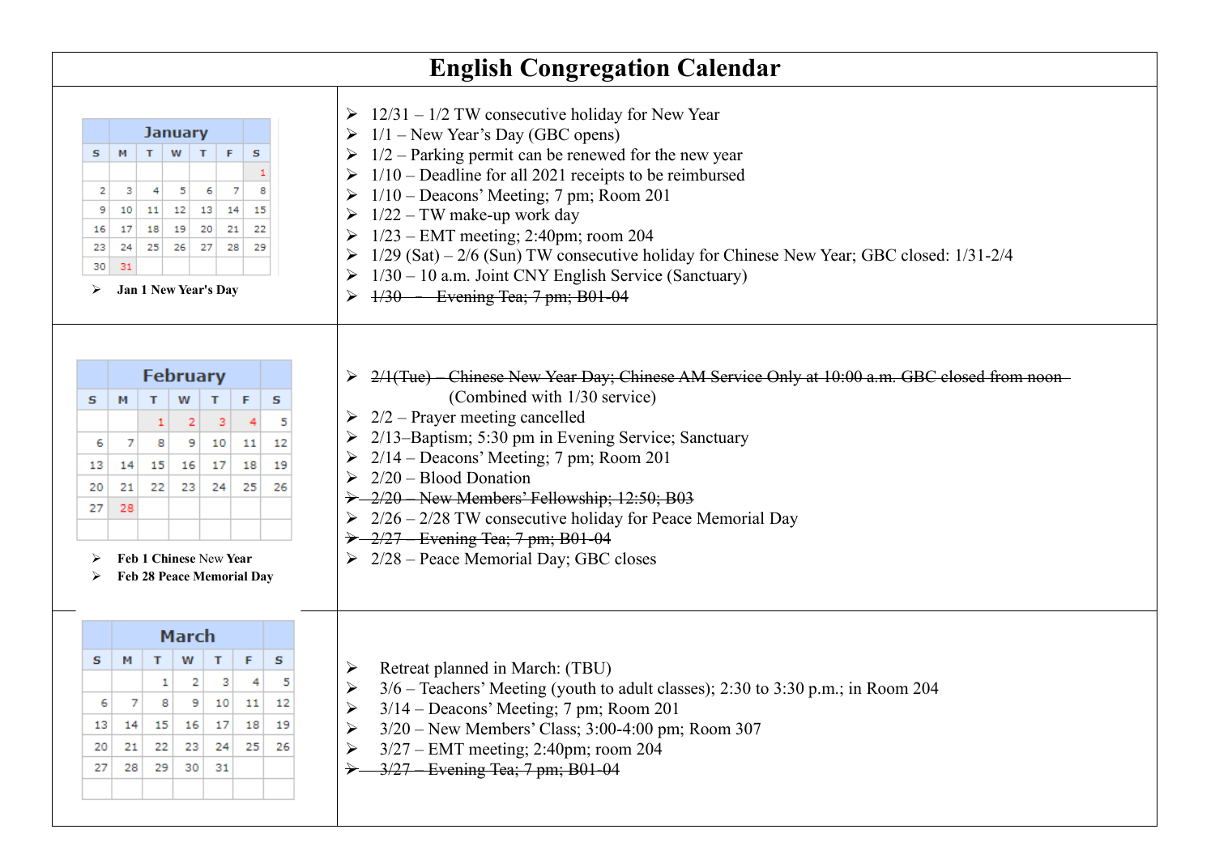|                               |                                |                                                            |                                                                |        |                                                 |      | <b>English Congregation Calendar</b>                                                                                                                                                                                                                                                                                                                                                                                                                                                                                                        |
|-------------------------------|--------------------------------|------------------------------------------------------------|----------------------------------------------------------------|--------|-------------------------------------------------|------|---------------------------------------------------------------------------------------------------------------------------------------------------------------------------------------------------------------------------------------------------------------------------------------------------------------------------------------------------------------------------------------------------------------------------------------------------------------------------------------------------------------------------------------------|
| s<br>2<br>9<br>16<br>23<br>30 | м<br>з<br>10<br>17<br>24<br>31 | 4<br>11<br>18<br>25<br>Jan 1 New Year's Day                | <b>January</b><br>$T$ W $T$<br>5<br>12 13<br>19 20<br>26<br>27 | F<br>6 | s<br>7<br>8<br>14<br>15<br>21<br>22<br>28<br>29 |      | $\geq 12/31 - 1/2$ TW consecutive holiday for New Year<br>$1/1$ – New Year's Day (GBC opens)<br>$1/2$ – Parking permit can be renewed for the new year<br>$1/10$ – Deadline for all 2021 receipts to be reimbursed<br>$1/10$ – Deacons' Meeting; 7 pm; Room 201<br>$1/22$ – TW make-up work day<br>$1/23$ – EMT meeting; 2:40pm; room 204<br>$1/29$ (Sat) – $2/6$ (Sun) TW consecutive holiday for Chinese New Year; GBC closed: $1/31-2/4$<br>$1/30 - 10$ a.m. Joint CNY English Service (Sanctuary)<br>$1/30$ – Evening Tea; 7 pm; B01-04 |
|                               |                                |                                                            | <b>February</b>                                                |        |                                                 |      | 2/1(Tue) - Chinese New Year Day; Chinese AM Service Only at 10:00 a.m. GBC closed from noon-                                                                                                                                                                                                                                                                                                                                                                                                                                                |
| s                             | м                              | T.                                                         | W                                                              | т      | F                                               | s    | (Combined with 1/30 service)                                                                                                                                                                                                                                                                                                                                                                                                                                                                                                                |
|                               |                                | 1                                                          | 2                                                              | -3     |                                                 |      | $\geq$ 2/2 – Prayer meeting cancelled                                                                                                                                                                                                                                                                                                                                                                                                                                                                                                       |
| 6                             | 7                              | 8                                                          | 9                                                              | 10     | 11                                              | 12   | 2/13-Baptism; 5:30 pm in Evening Service; Sanctuary                                                                                                                                                                                                                                                                                                                                                                                                                                                                                         |
| 13                            | 14                             | 15                                                         | 16                                                             | 17     | 18                                              | 19   | $2/14$ – Deacons' Meeting; 7 pm; Room 201                                                                                                                                                                                                                                                                                                                                                                                                                                                                                                   |
| 20                            | 21                             | 22                                                         | 23                                                             | 24     | 25                                              | 26   | $2/20 - Blood Donation$                                                                                                                                                                                                                                                                                                                                                                                                                                                                                                                     |
| 27                            | 28                             |                                                            |                                                                |        |                                                 |      | > 2/20 New Members' Fellowship; 12:50; B03                                                                                                                                                                                                                                                                                                                                                                                                                                                                                                  |
|                               |                                |                                                            |                                                                |        |                                                 |      | $\geq 2/26 - 2/28$ TW consecutive holiday for Peace Memorial Day                                                                                                                                                                                                                                                                                                                                                                                                                                                                            |
|                               |                                | Feb 1 Chinese New Year<br><b>Feb 28 Peace Memorial Day</b> |                                                                |        |                                                 |      | $\rightarrow$ -2/27 - Evening Tea; 7 pm; B01-04<br>$\geq$ 2/28 – Peace Memorial Day; GBC closes                                                                                                                                                                                                                                                                                                                                                                                                                                             |
|                               | <b>March</b>                   |                                                            |                                                                |        |                                                 |      |                                                                                                                                                                                                                                                                                                                                                                                                                                                                                                                                             |
| s                             | м                              | т                                                          | W                                                              | т      | F                                               | s    | Retreat planned in March: (TBU)<br>➤                                                                                                                                                                                                                                                                                                                                                                                                                                                                                                        |
|                               |                                |                                                            | 2                                                              | з      |                                                 |      | 3/6 – Teachers' Meeting (youth to adult classes); 2:30 to 3:30 p.m.; in Room 204<br>➤                                                                                                                                                                                                                                                                                                                                                                                                                                                       |
| 6                             |                                |                                                            | 9                                                              | 10     | 11                                              | 12   | $3/14$ – Deacons' Meeting; 7 pm; Room 201                                                                                                                                                                                                                                                                                                                                                                                                                                                                                                   |
| 13                            | 14                             | 15                                                         | 16 17                                                          |        | 18                                              | - 19 | 3/20 - New Members' Class; 3:00-4:00 pm; Room 307                                                                                                                                                                                                                                                                                                                                                                                                                                                                                           |
| 20                            | 21                             | 22                                                         | 23                                                             | 24     | 25                                              | -26  | $3/27$ – EMT meeting; 2:40pm; room 204                                                                                                                                                                                                                                                                                                                                                                                                                                                                                                      |
| 27                            | 28                             | 29                                                         | 30                                                             | 31     |                                                 |      | 3/27 Evening Tea; 7 pm; B01-04                                                                                                                                                                                                                                                                                                                                                                                                                                                                                                              |
|                               |                                |                                                            |                                                                |        |                                                 |      |                                                                                                                                                                                                                                                                                                                                                                                                                                                                                                                                             |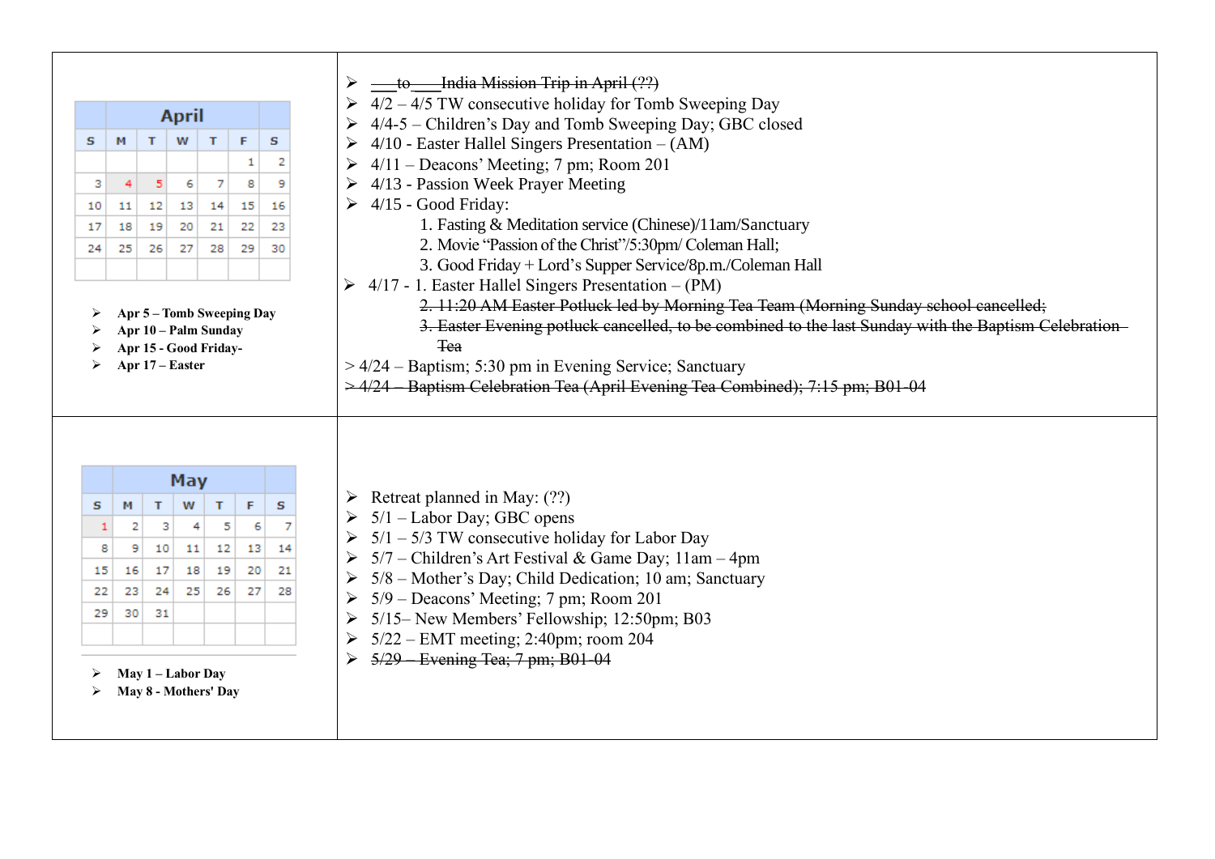|    |              |                                           |          |        |    | to India Mission Trip in April (??)                                                                 |
|----|--------------|-------------------------------------------|----------|--------|----|-----------------------------------------------------------------------------------------------------|
|    |              |                                           |          |        |    | $4/2 - 4/5$ TW consecutive holiday for Tomb Sweeping Day                                            |
|    | <b>April</b> |                                           |          |        |    | 4/4-5 - Children's Day and Tomb Sweeping Day; GBC closed                                            |
| s  | M            | T<br>W                                    | T        | F      | s  | $4/10$ - Easter Hallel Singers Presentation $- (AM)$                                                |
|    |              |                                           |          | 1      | 2  | $4/11$ – Deacons' Meeting; 7 pm; Room 201                                                           |
| з  | 4            | 5<br>6                                    | 7        | 8      | 9  | 4/13 - Passion Week Prayer Meeting                                                                  |
| 10 | 11           | 12<br>13                                  | 14       | 15     | 16 | $\triangleright$ 4/15 - Good Friday:                                                                |
| 17 | 18           | 19<br>20                                  | 21       | 22     | 23 | 1. Fasting & Meditation service (Chinese)/11am/Sanctuary                                            |
| 24 | 25           | 26<br>27                                  | 28       | 29     | 30 | 2. Movie "Passion of the Christ"/5:30pm/ Coleman Hall;                                              |
|    |              |                                           |          |        |    | 3. Good Friday + Lord's Supper Service/8p.m./Coleman Hall                                           |
|    |              |                                           |          |        |    | $4/17$ - 1. Easter Hallel Singers Presentation $- (PM)$<br>$\blacktriangleright$                    |
|    |              | Apr 5 - Tomb Sweeping Day                 |          |        |    | 2. 11:20 AM Easter Potluck led by Morning Tea Team (Morning Sunday school cancelled;                |
|    |              | Apr 10 - Palm Sunday                      |          |        |    | 3. Easter Evening potluck cancelled, to be combined to the last Sunday with the Baptism Celebration |
|    |              | Apr 15 - Good Friday-                     |          |        |    | <b>Tea</b>                                                                                          |
|    |              | Apr 17 – Easter                           |          |        |    | > 4/24 - Baptism; 5:30 pm in Evening Service; Sanctuary                                             |
|    |              |                                           |          |        |    | $\geq$ 4/24 Baptism Celebration Tea (April Evening Tea Combined); 7:15 pm; B01-04                   |
| s  | м            | May<br>W<br>т                             | т        | F      | s  | Retreat planned in May: (??)<br>➤<br>5/1 – Labor Day; GBC opens                                     |
|    | 2<br>1       | з                                         | 4        | 5<br>6 |    | $\triangleright$ 5/1 – 5/3 TW consecutive holiday for Labor Day                                     |
|    | 8<br>9       | 10                                        | 11<br>12 | 13     | 14 | 5/7 – Children's Art Festival & Game Day; 11am – 4pm                                                |
| 15 | 16           | 17                                        | 18<br>19 | 20     | 21 | 5/8 – Mother's Day; Child Dedication; 10 am; Sanctuary                                              |
| 22 | 23           | 24                                        | 25<br>26 | 27     | 28 | 5/9 – Deacons' Meeting; 7 pm; Room 201                                                              |
| 29 | 30           | 31                                        |          |        |    | 5/15– New Members' Fellowship; 12:50pm; B03                                                         |
|    |              |                                           |          |        |    | $5/22$ – EMT meeting; 2:40pm; room 204                                                              |
|    |              | May 1 - Labor Day<br>May 8 - Mothers' Day |          |        |    | 5/29 Evening Tea; 7 pm; B01-04                                                                      |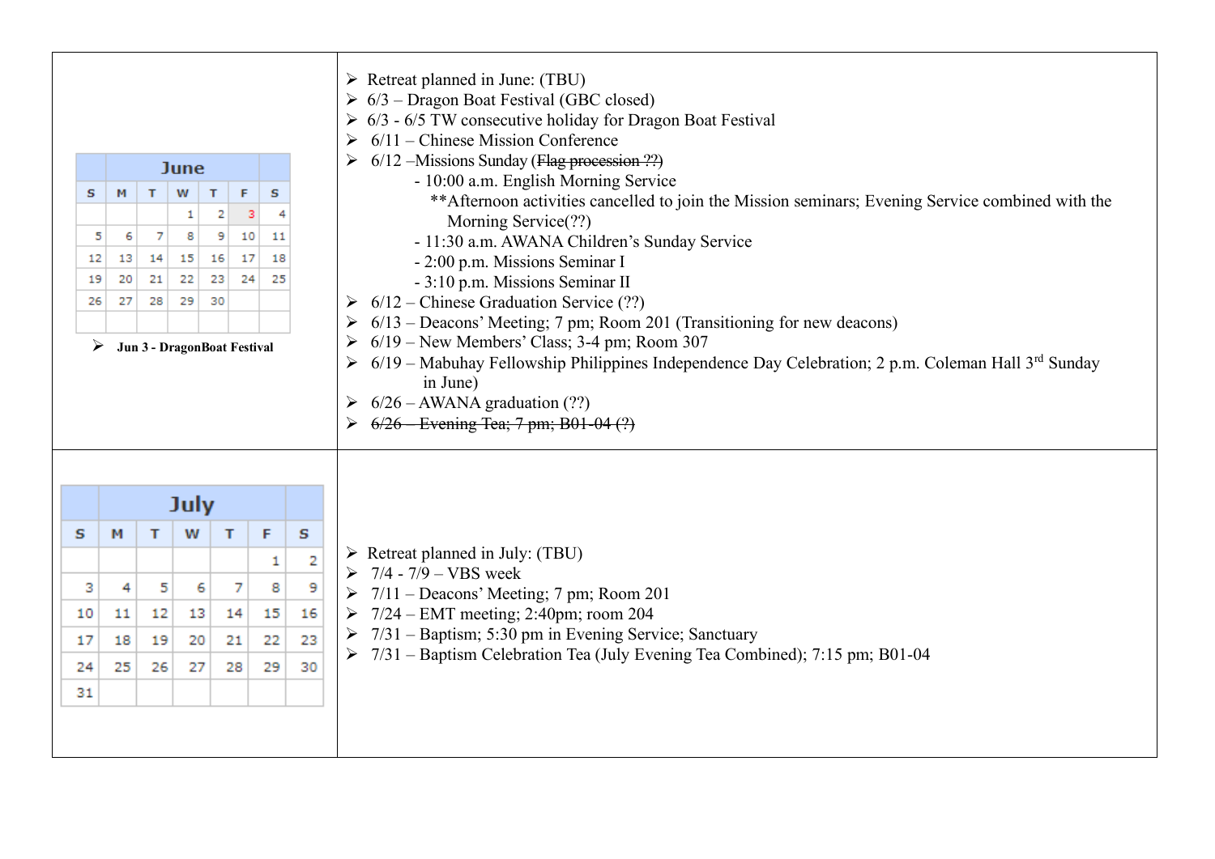| s<br>12<br>19 | м<br>5<br>6<br>13<br>20 | $\mathsf{T}$<br>7<br>14<br>21 | <b>June</b><br>W<br>1<br>8<br>15<br>22 | F<br>s<br>т<br>2<br>3<br>9<br>10<br>11<br>16<br>17<br>18<br>23<br>24<br>25<br>30<br>Jun 3 - DragonBoat Festival<br>F<br>s<br>т<br>1<br>7<br>6<br>8<br>15<br>14 |    |    | $\triangleright$ Retreat planned in June: (TBU)<br>$6/3$ – Dragon Boat Festival (GBC closed)<br>6/3 - 6/5 TW consecutive holiday for Dragon Boat Festival<br>$6/11$ – Chinese Mission Conference<br>$6/12$ –Missions Sunday (Flag procession ??)<br>- 10:00 a.m. English Morning Service<br>** Afternoon activities cancelled to join the Mission seminars; Evening Service combined with the<br>Morning Service(??)<br>- 11:30 a.m. AWANA Children's Sunday Service<br>- 2:00 p.m. Missions Seminar I<br>- 3:10 p.m. Missions Seminar II |  |  |  |  |
|---------------|-------------------------|-------------------------------|----------------------------------------|----------------------------------------------------------------------------------------------------------------------------------------------------------------|----|----|-------------------------------------------------------------------------------------------------------------------------------------------------------------------------------------------------------------------------------------------------------------------------------------------------------------------------------------------------------------------------------------------------------------------------------------------------------------------------------------------------------------------------------------------|--|--|--|--|
| 26            | 27                      | 28                            | 29                                     |                                                                                                                                                                |    |    | $6/12$ – Chinese Graduation Service (??)<br>6/13 – Deacons' Meeting; 7 pm; Room 201 (Transitioning for new deacons)                                                                                                                                                                                                                                                                                                                                                                                                                       |  |  |  |  |
| ➤             |                         |                               |                                        |                                                                                                                                                                |    |    | $6/19$ – New Members' Class; 3-4 pm; Room 307                                                                                                                                                                                                                                                                                                                                                                                                                                                                                             |  |  |  |  |
|               |                         |                               |                                        |                                                                                                                                                                |    |    | $6/19$ – Mabuhay Fellowship Philippines Independence Day Celebration; 2 p.m. Coleman Hall 3 <sup>rd</sup> Sunday<br>in June)<br>$6/26$ – AWANA graduation (??)<br>6/26 Evening Tea; 7 pm; B01-04 (?)                                                                                                                                                                                                                                                                                                                                      |  |  |  |  |
|               |                         |                               | <b>July</b>                            |                                                                                                                                                                |    |    |                                                                                                                                                                                                                                                                                                                                                                                                                                                                                                                                           |  |  |  |  |
| s             | м                       | т                             | w                                      |                                                                                                                                                                |    |    |                                                                                                                                                                                                                                                                                                                                                                                                                                                                                                                                           |  |  |  |  |
|               |                         |                               |                                        |                                                                                                                                                                |    | 2  | $\triangleright$ Retreat planned in July: (TBU)<br>$7/4 - 7/9 - VBS$ week                                                                                                                                                                                                                                                                                                                                                                                                                                                                 |  |  |  |  |
| з             | 4                       | 5                             |                                        |                                                                                                                                                                |    | 9  | $7/11$ – Deacons' Meeting; 7 pm; Room 201                                                                                                                                                                                                                                                                                                                                                                                                                                                                                                 |  |  |  |  |
| 10            | 11                      | 12                            | 13                                     |                                                                                                                                                                |    | 16 | 7/24 - EMT meeting; 2:40pm; room 204                                                                                                                                                                                                                                                                                                                                                                                                                                                                                                      |  |  |  |  |
| 17            | 18                      | 19                            | 20                                     | 21                                                                                                                                                             | 22 | 23 | 7/31 – Baptism; 5:30 pm in Evening Service; Sanctuary                                                                                                                                                                                                                                                                                                                                                                                                                                                                                     |  |  |  |  |
| 24            | 25                      | 26                            | 27                                     | 28                                                                                                                                                             | 29 | 30 | 7/31 – Baptism Celebration Tea (July Evening Tea Combined); 7:15 pm; B01-04                                                                                                                                                                                                                                                                                                                                                                                                                                                               |  |  |  |  |
| 31            |                         |                               |                                        |                                                                                                                                                                |    |    |                                                                                                                                                                                                                                                                                                                                                                                                                                                                                                                                           |  |  |  |  |
|               |                         |                               |                                        |                                                                                                                                                                |    |    |                                                                                                                                                                                                                                                                                                                                                                                                                                                                                                                                           |  |  |  |  |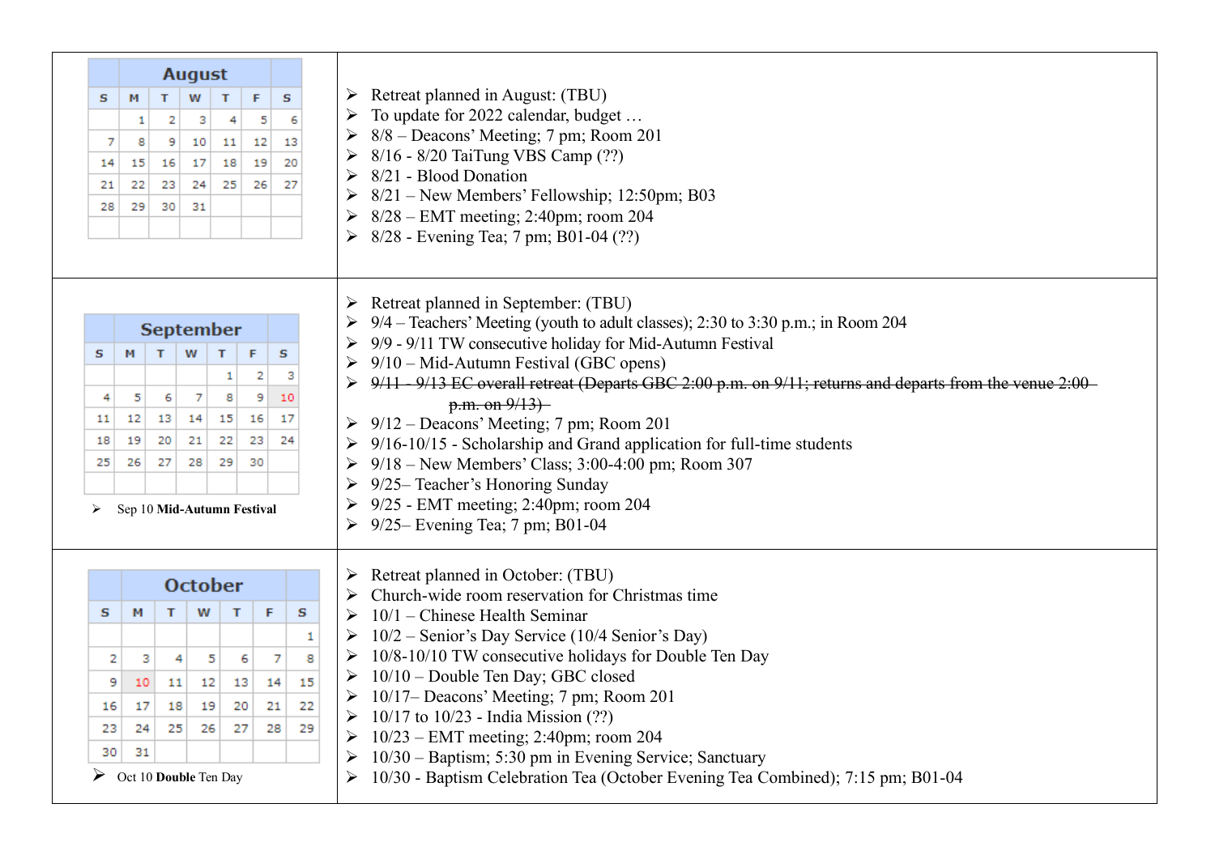|    | <b>August</b>              |    |                  |    |          |                                                                                                                                                    |
|----|----------------------------|----|------------------|----|----------|----------------------------------------------------------------------------------------------------------------------------------------------------|
| s  | м                          | T  | W                | T  | F<br>s   | $\triangleright$ Retreat planned in August: (TBU)                                                                                                  |
|    | 1                          | 2  | з                | 4  | 5        | To update for 2022 calendar, budget<br>6                                                                                                           |
| 7  | 8                          | 9  | 10               | 11 | 13<br>12 | 8/8 – Deacons' Meeting; 7 pm; Room 201                                                                                                             |
| 14 | 15                         | 16 | 17               | 18 | 19       | 8/16 - 8/20 TaiTung VBS Camp (??)<br>20                                                                                                            |
|    |                            | 23 | 24               | 25 | 26       | 8/21 - Blood Donation<br>27                                                                                                                        |
| 21 | 22                         |    |                  |    |          | 8/21 - New Members' Fellowship; 12:50pm; B03                                                                                                       |
| 28 | 29                         | 30 | 31               |    |          | 8/28 – EMT meeting; 2:40pm; room 204                                                                                                               |
|    |                            |    |                  |    |          | 8/28 - Evening Tea; 7 pm; B01-04 (??)<br>$\blacktriangleright$                                                                                     |
|    |                            |    |                  |    |          | Retreat planned in September: (TBU)<br>➤                                                                                                           |
|    |                            |    | <b>September</b> |    |          | 9/4 – Teachers' Meeting (youth to adult classes); 2:30 to 3:30 p.m.; in Room 204                                                                   |
| s  | м                          | T  | W<br>T           |    | s<br>F   | 9/9 - 9/11 TW consecutive holiday for Mid-Autumn Festival                                                                                          |
|    |                            |    |                  | 1  | 2        | $9/10$ – Mid-Autumn Festival (GBC opens)<br>9/11 - 9/13 EC overall retreat (Departs GBC 2:00 p.m. on 9/11; returns and departs from the venue 2:00 |
| 4  | 5                          | 6  | 7                | 8  | 9<br>10  | p.m. on 9/13                                                                                                                                       |
| 11 | 12                         | 13 | 14               | 15 | 16<br>17 | $\triangleright$ 9/12 – Deacons' Meeting; 7 pm; Room 201                                                                                           |
| 18 | 19                         | 20 | 21               | 22 | 23<br>24 | 9/16-10/15 - Scholarship and Grand application for full-time students                                                                              |
| 25 | 26                         | 27 | 28               | 29 | 30       | $9/18$ – New Members' Class; 3:00-4:00 pm; Room 307                                                                                                |
|    |                            |    |                  |    |          | 9/25– Teacher's Honoring Sunday                                                                                                                    |
| ➤  | Sep 10 Mid-Autumn Festival |    |                  |    |          | 9/25 - EMT meeting; 2:40pm; room 204                                                                                                               |
|    |                            |    |                  |    |          | → 9/25 – Evening Tea; 7 pm; B01-04                                                                                                                 |
|    |                            |    | <b>October</b>   |    |          | Retreat planned in October: (TBU)                                                                                                                  |
|    |                            |    |                  |    |          | Church-wide room reservation for Christmas time                                                                                                    |
| s  | м                          | т  | W                | т  | F        | s<br>$10/1$ – Chinese Health Seminar                                                                                                               |
|    |                            |    |                  |    |          | 10/2 - Senior's Day Service (10/4 Senior's Day)<br>1                                                                                               |
| 2  | з                          | 4  | 5                | 6  | 7        | 10/8-10/10 TW consecutive holidays for Double Ten Day<br>8                                                                                         |
| 9  | 10                         | 11 | 12               | 13 | 14       | 10/10 - Double Ten Day; GBC closed<br>15                                                                                                           |
|    | 17                         | 18 | 19               | 20 | 21       | 10/17– Deacons' Meeting; 7 pm; Room 201<br>22<br>10/17 to 10/23 - India Mission (??)                                                               |
| 16 |                            |    |                  |    | 28       | 29                                                                                                                                                 |
| 23 | 24                         | 25 | 26               | 27 |          |                                                                                                                                                    |
| 30 | 31                         |    |                  |    |          | $10/23$ – EMT meeting; 2:40pm; room 204<br>10/30 - Baptism; 5:30 pm in Evening Service; Sanctuary                                                  |